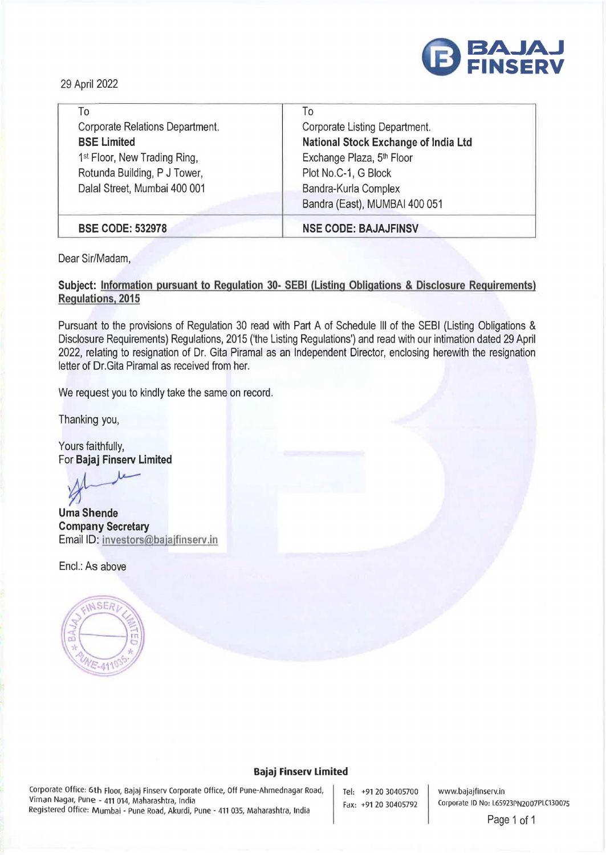

29 April 2022

| To                                       | To                                   |
|------------------------------------------|--------------------------------------|
| Corporate Relations Department.          | Corporate Listing Department.        |
| <b>BSE Limited</b>                       | National Stock Exchange of India Ltd |
| 1 <sup>st</sup> Floor, New Trading Ring, | Exchange Plaza, 5th Floor            |
| Rotunda Building, P J Tower,             | Plot No.C-1, G Block                 |
| Dalal Street, Mumbai 400 001             | Bandra-Kurla Complex                 |
|                                          | Bandra (East), MUMBAI 400 051        |
| <b>BSE CODE: 532978</b>                  | <b>NSE CODE: BAJAJFINSV</b>          |

Dear Sir/Madam,

## **Subject: Information pursuant to Regulation 30- SEBI (Listing Obligations & Disclosure Requirements) Regulations, 2015**

Pursuant to the provisions of Regulation 30 read with Part A of Schedule Ill of the SEBI (Listing Obligations & Disclosure Requirements) Regulations, 2015 ('the Listing Regulations') and read with our intimation dated 29 April 2022, relating to resignation of Dr. Gita Piramal as an Independent Director, enclosing herewith the resignation letter of Dr.Gita Piramal as received from her.

We request you to kindly take the same on record.

Thanking you,

Yours faithfully,

For **Bajaj Finserv Limited**<br> *M*<br>
Uma Shende

**Uma Shende Company Secretary**  Email ID: **investors@bajajfinserv.in** 

Encl.: As above



## **Bajaj Finserv Limited**

Corporate Office: 6th Floor, Bajaj Finserv Corporate Office, Off Pune-Ahmednagar Road, Viman Nagar, Pune - 411 014, Maharashtra, India Registered Office: Mumbai - Pune Road, Akurdi, Pune - 411 035, Maharashtra, India

Tel: +91 20 30405700 Fax: +91 20 30405792

www.bajajfinserv.in Corporate ID No: L65923PN2007PLC13007S

Page 1 of 1